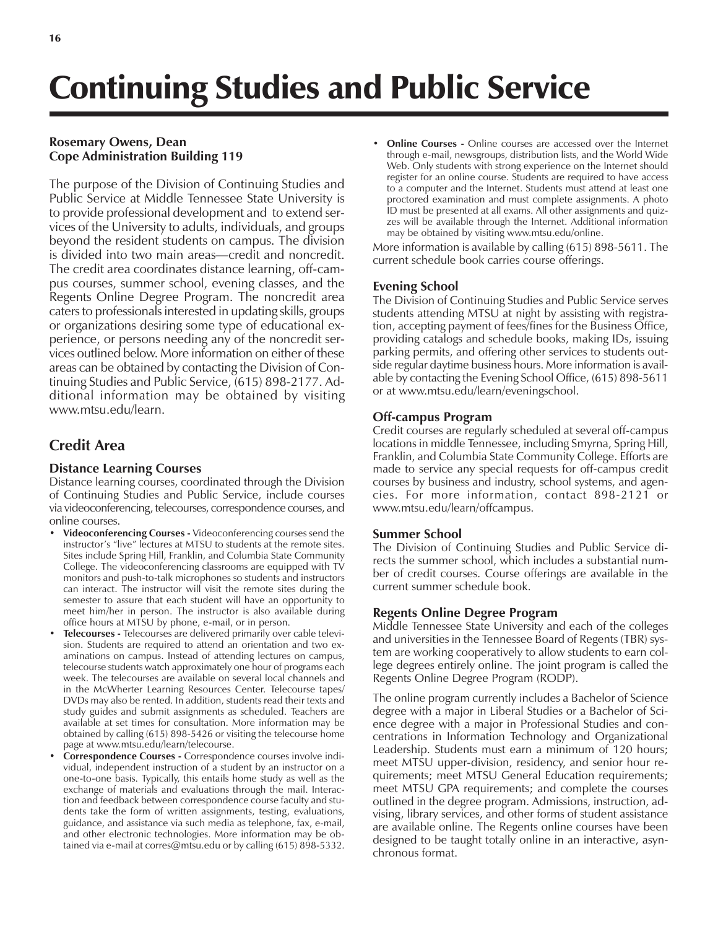# Continuing Studies and Public Service

# **Rosemary Owens, Dean Cope Administration Building 119**

The purpose of the Division of Continuing Studies and Public Service at Middle Tennessee State University is to provide professional development and to extend services of the University to adults, individuals, and groups beyond the resident students on campus. The division is divided into two main areas—credit and noncredit. The credit area coordinates distance learning, off-campus courses, summer school, evening classes, and the Regents Online Degree Program. The noncredit area caters to professionals interested in updating skills, groups or organizations desiring some type of educational experience, or persons needing any of the noncredit services outlined below. More information on either of these areas can be obtained by contacting the Division of Continuing Studies and Public Service, (615) 898-2177. Additional information may be obtained by visiting www.mtsu.edu/learn.

# **Credit Area**

## **Distance Learning Courses**

Distance learning courses, coordinated through the Division of Continuing Studies and Public Service, include courses via videoconferencing, telecourses, correspondence courses, and online courses.

- Videoconferencing Courses Videoconferencing courses send the instructor's "live" lectures at MTSU to students at the remote sites. Sites include Spring Hill, Franklin, and Columbia State Community College. The videoconferencing classrooms are equipped with TV monitors and push-to-talk microphones so students and instructors can interact. The instructor will visit the remote sites during the semester to assure that each student will have an opportunity to meet him/her in person. The instructor is also available during office hours at MTSU by phone, e-mail, or in person.
- **ï Telecourses** Telecourses are delivered primarily over cable television. Students are required to attend an orientation and two examinations on campus. Instead of attending lectures on campus, telecourse students watch approximately one hour of programs each week. The telecourses are available on several local channels and in the McWherter Learning Resources Center. Telecourse tapes/ DVDs may also be rented. In addition, students read their texts and study guides and submit assignments as scheduled. Teachers are available at set times for consultation. More information may be obtained by calling (615) 898-5426 or visiting the telecourse home page at www.mtsu.edu/learn/telecourse.
- Correspondence Courses Correspondence courses involve individual, independent instruction of a student by an instructor on a one-to-one basis. Typically, this entails home study as well as the exchange of materials and evaluations through the mail. Interaction and feedback between correspondence course faculty and students take the form of written assignments, testing, evaluations, guidance, and assistance via such media as telephone, fax, e-mail, and other electronic technologies. More information may be obtained via e-mail at corres@mtsu.edu or by calling (615) 898-5332.

**Online Courses -** Online courses are accessed over the Internet through e-mail, newsgroups, distribution lists, and the World Wide Web. Only students with strong experience on the Internet should register for an online course. Students are required to have access to a computer and the Internet. Students must attend at least one proctored examination and must complete assignments. A photo ID must be presented at all exams. All other assignments and quizzes will be available through the Internet. Additional information may be obtained by visiting www.mtsu.edu/online.

More information is available by calling (615) 898-5611. The current schedule book carries course offerings.

## **Evening School**

The Division of Continuing Studies and Public Service serves students attending MTSU at night by assisting with registration, accepting payment of fees/fines for the Business Office, providing catalogs and schedule books, making IDs, issuing parking permits, and offering other services to students outside regular daytime business hours. More information is available by contacting the Evening School Office, (615) 898-5611 or at www.mtsu.edu/learn/eveningschool.

# **Off-campus Program**

Credit courses are regularly scheduled at several off-campus locations in middle Tennessee, including Smyrna, Spring Hill, Franklin, and Columbia State Community College. Efforts are made to service any special requests for off-campus credit courses by business and industry, school systems, and agencies. For more information, contact 898-2121 or www.mtsu.edu/learn/offcampus.

## **Summer School**

The Division of Continuing Studies and Public Service directs the summer school, which includes a substantial number of credit courses. Course offerings are available in the current summer schedule book.

# **Regents Online Degree Program**

Middle Tennessee State University and each of the colleges and universities in the Tennessee Board of Regents (TBR) system are working cooperatively to allow students to earn college degrees entirely online. The joint program is called the Regents Online Degree Program (RODP).

The online program currently includes a Bachelor of Science degree with a major in Liberal Studies or a Bachelor of Science degree with a major in Professional Studies and concentrations in Information Technology and Organizational Leadership. Students must earn a minimum of 120 hours; meet MTSU upper-division, residency, and senior hour requirements; meet MTSU General Education requirements; meet MTSU GPA requirements; and complete the courses outlined in the degree program. Admissions, instruction, advising, library services, and other forms of student assistance are available online. The Regents online courses have been designed to be taught totally online in an interactive, asynchronous format.